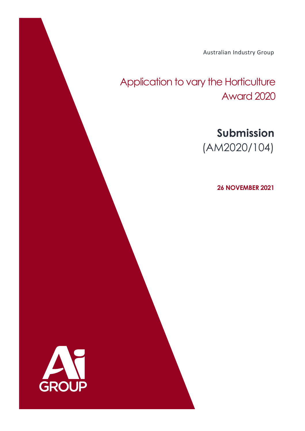Australian Industry Group

# Application to vary the Horticulture Award 2020

# **Submission** (AM2020/104)

**26 NOVEMBER 2021**

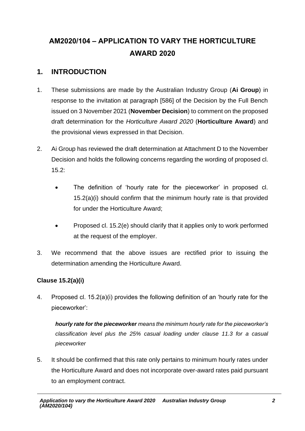## **AM2020/104 – APPLICATION TO VARY THE HORTICULTURE AWARD 2020**

### **1. INTRODUCTION**

- 1. These submissions are made by the Australian Industry Group (**Ai Group**) in response to the invitation at paragraph [586] of the Decision by the Full Bench issued on 3 November 2021 (**November Decision**) to comment on the proposed draft determination for the *Horticulture Award 2020* (**Horticulture Award**) and the provisional views expressed in that Decision.
- 2. Ai Group has reviewed the draft determination at Attachment D to the November Decision and holds the following concerns regarding the wording of proposed cl. 15.2:
	- The definition of 'hourly rate for the pieceworker' in proposed cl. 15.2(a)(i) should confirm that the minimum hourly rate is that provided for under the Horticulture Award;
	- Proposed cl. 15.2(e) should clarify that it applies only to work performed at the request of the employer.
- 3. We recommend that the above issues are rectified prior to issuing the determination amending the Horticulture Award.

### **Clause 15.2(a)(i)**

4. Proposed cl. 15.2(a)(i) provides the following definition of an 'hourly rate for the pieceworker':

*hourly rate for the pieceworker means the minimum hourly rate for the pieceworker's classification level plus the 25% casual loading under clause 11.3 for a casual pieceworker*

5. It should be confirmed that this rate only pertains to minimum hourly rates under the Horticulture Award and does not incorporate over-award rates paid pursuant to an employment contract.